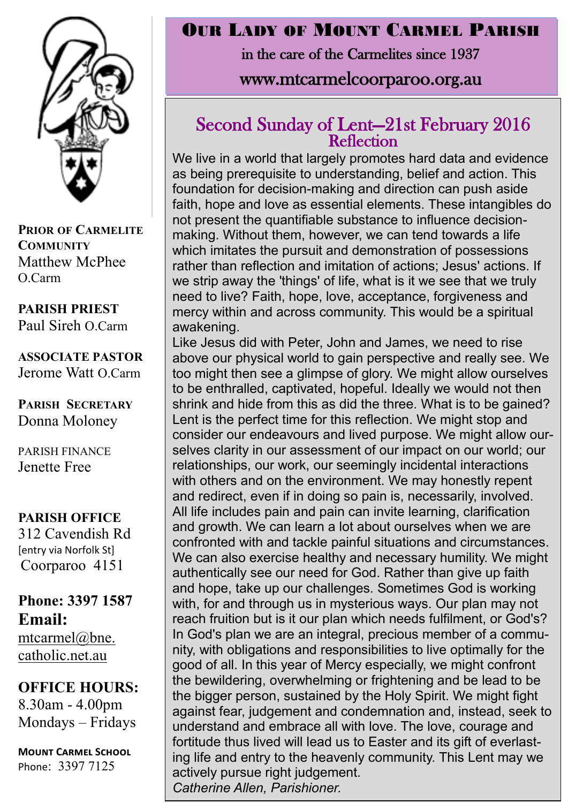

**PRIOR OF CARMELITE COMMUNITY** Matthew McPhee O.Carm

**PARISH PRIEST** Paul Sireh O.Carm

**ASSOCIATE PASTOR** Jerome Watt O.Carm

**PARISH SECRETARY** Donna Moloney

PARISH FINANCE Jenette Free

#### **PARISH OFFICE**

312 Cavendish Rd [entry via Norfolk St] Coorparoo 4151

#### **Phone: 3397 1587 Email:** mtcarmel@bne. [catholic.net.au](mailto:mtcarmel@bne.catholic.net.au)

**OFFICE HOURS:**  8.30am - 4.00pm Mondays – Fridays

**Mount Carmel School** Phone: 3397 7125

### OUR LADY OF MOUNT CARMEL PARISH

in the care of the Carmelites since 1937

# www.mtcarmelcoorparoo.org.au

#### Second Sunday of Lent—21st February 2016 **Reflection**

We live in a world that largely promotes hard data and evidence as being prerequisite to understanding, belief and action. This foundation for decision-making and direction can push aside faith, hope and love as essential elements. These intangibles do not present the quantifiable substance to influence decisionmaking. Without them, however, we can tend towards a life which imitates the pursuit and demonstration of possessions rather than reflection and imitation of actions; Jesus' actions. If we strip away the 'things' of life, what is it we see that we truly need to live? Faith, hope, love, acceptance, forgiveness and mercy within and across community. This would be a spiritual awakening.

Like Jesus did with Peter, John and James, we need to rise above our physical world to gain perspective and really see. We too might then see a glimpse of glory. We might allow ourselves to be enthralled, captivated, hopeful. Ideally we would not then shrink and hide from this as did the three. What is to be gained? Lent is the perfect time for this reflection. We might stop and consider our endeavours and lived purpose. We might allow ourselves clarity in our assessment of our impact on our world; our relationships, our work, our seemingly incidental interactions with others and on the environment. We may honestly repent and redirect, even if in doing so pain is, necessarily, involved. All life includes pain and pain can invite learning, clarification and growth. We can learn a lot about ourselves when we are confronted with and tackle painful situations and circumstances. We can also exercise healthy and necessary humility. We might authentically see our need for God. Rather than give up faith and hope, take up our challenges. Sometimes God is working with, for and through us in mysterious ways. Our plan may not reach fruition but is it our plan which needs fulfilment, or God's? In God's plan we are an integral, precious member of a community, with obligations and responsibilities to live optimally for the good of all. In this year of Mercy especially, we might confront the bewildering, overwhelming or frightening and be lead to be the bigger person, sustained by the Holy Spirit. We might fight against fear, judgement and condemnation and, instead, seek to understand and embrace all with love. The love, courage and fortitude thus lived will lead us to Easter and its gift of everlasting life and entry to the heavenly community. This Lent may we actively pursue right judgement. *Catherine Allen, Parishioner.*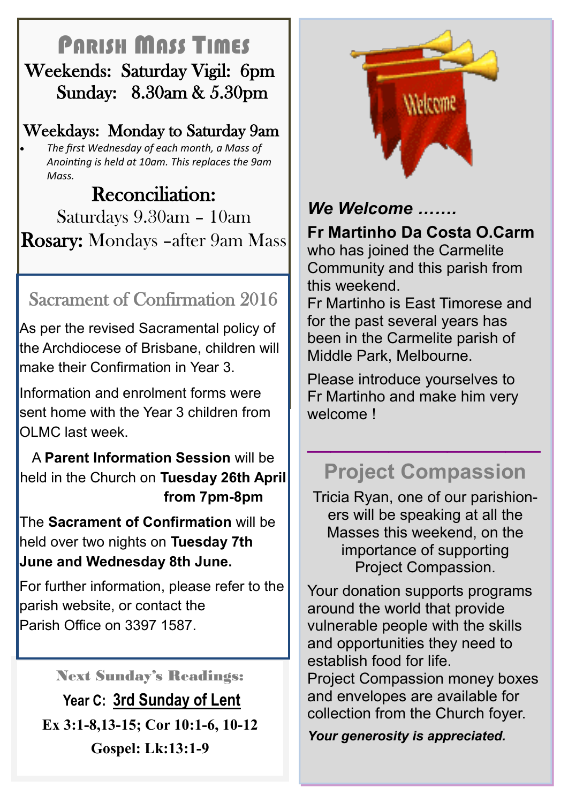# PARISH MASS TIMES Weekends: Saturday Vigil: 6pm Sunday: 8.30am & 5.30pm

### Weekdays: Monday to Saturday 9am

 *The first Wednesday of each month, a Mass of Anointing is held at 10am. This replaces the 9am Mass.*

# Reconciliation: Saturdays 9.30am – 10am Rosary: Mondays –after 9am Mass

# Sacrament of Confirmation 2016

As per the revised Sacramental policy of the Archdiocese of Brisbane, children will make their Confirmation in Year 3.

Information and enrolment forms were sent home with the Year 3 children from OLMC last week.

A **Parent Information Session** will be held in the Church on **Tuesday 26th April from 7pm-8pm**

The **Sacrament of Confirmation** will be held over two nights on **Tuesday 7th June and Wednesday 8th June.**

For further information, please refer to the parish website, or contact the Parish Office on 3397 1587.

## Next Sunday's Readings:

**Year C: 3rd Sunday of Lent Ex 3:1-8,13-15; Cor 10:1-6, 10-12 Gospel: Lk:13:1-9**



# *We Welcome …….*

**Fr Martinho Da Costa O.Carm** 

who has joined the Carmelite Community and this parish from this weekend.

Fr Martinho is East Timorese and for the past several years has been in the Carmelite parish of Middle Park, Melbourne.

Please introduce yourselves to Fr Martinho and make him very welcome !

# **Project Compassion**

**\_\_\_\_\_\_\_\_\_\_\_\_\_\_\_\_\_\_\_\_**

Tricia Ryan, one of our parishioners will be speaking at all the Masses this weekend, on the importance of supporting Project Compassion.

Your donation supports programs around the world that provide vulnerable people with the skills and opportunities they need to establish food for life. Project Compassion money boxes and envelopes are available for collection from the Church foyer.

*Your generosity is appreciated.*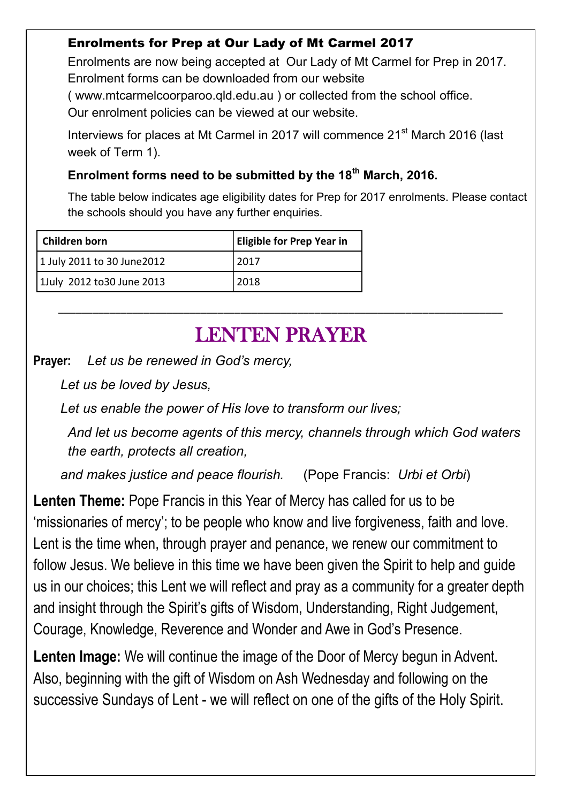#### Enrolments for Prep at Our Lady of Mt Carmel 2017

Enrolments are now being accepted at Our Lady of Mt Carmel for Prep in 2017. Enrolment forms can be downloaded from our website

( www.mtcarmelcoorparoo.qld.edu.au ) or collected from the school office.

Our enrolment policies can be viewed at our website.

Interviews for places at Mt Carmel in 2017 will commence 21<sup>st</sup> March 2016 (last week of Term 1).

#### **Enrolment forms need to be submitted by the 18th March, 2016.**

The table below indicates age eligibility dates for Prep for 2017 enrolments. Please contact the schools should you have any further enquiries.

| Children born               | <b>Eligible for Prep Year in</b> |
|-----------------------------|----------------------------------|
| 1 July 2011 to 30 June 2012 | 2017                             |
| 1July 2012 to 30 June 2013  | 2018                             |

# LENTEN PRAYER

\_\_\_\_\_\_\_\_\_\_\_\_\_\_\_\_\_\_\_\_\_\_\_\_\_\_\_\_\_\_\_\_\_\_\_\_\_\_\_\_\_\_\_\_\_\_\_\_\_\_\_\_\_\_\_\_\_\_\_\_\_\_\_\_\_\_\_\_\_\_\_\_\_\_\_\_\_\_

**Prayer:** *Let us be renewed in God's mercy,*

*Let us be loved by Jesus,*

*Let us enable the power of His love to transform our lives;*

*And let us become agents of this mercy, channels through which God waters the earth, protects all creation,*

*and makes justice and peace flourish.* (Pope Francis: *Urbi et Orbi*)

**Lenten Theme:** Pope Francis in this Year of Mercy has called for us to be 'missionaries of mercy'; to be people who know and live forgiveness, faith and love. Lent is the time when, through prayer and penance, we renew our commitment to follow Jesus. We believe in this time we have been given the Spirit to help and guide us in our choices; this Lent we will reflect and pray as a community for a greater depth and insight through the Spirit's gifts of Wisdom, Understanding, Right Judgement, Courage, Knowledge, Reverence and Wonder and Awe in God's Presence.

**Lenten Image:** We will continue the image of the Door of Mercy begun in Advent. Also, beginning with the gift of Wisdom on Ash Wednesday and following on the successive Sundays of Lent - we will reflect on one of the gifts of the Holy Spirit.